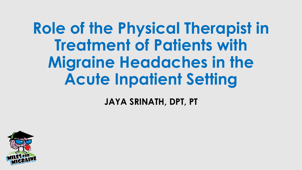#### **Role of the Physical Therapist in Treatment of Patients with Migraine Headaches in the Acute Inpatient Setting**

**JAYA SRINATH, DPT, PT**

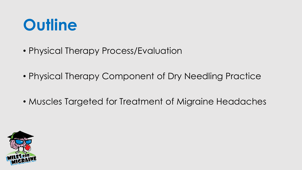#### **Outline**

- Physical Therapy Process/Evaluation
- Physical Therapy Component of Dry Needling Practice
- Muscles Targeted for Treatment of Migraine Headaches

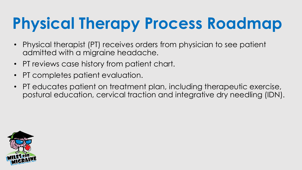# **Physical Therapy Process Roadmap**

- Physical therapist (PT) receives orders from physician to see patient admitted with a migraine headache.
- PT reviews case history from patient chart.
- PT completes patient evaluation.
- PT educates patient on treatment plan, including therapeutic exercise, postural education, cervical traction and integrative dry needling (IDN).

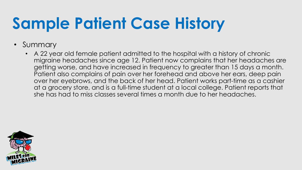## **Sample Patient Case History**

- Summary
	- A 22 year old female patient admitted to the hospital with a history of chronic migraine headaches since age 12. Patient now complains that her headaches are getting worse, and have increased in frequency to greater than 15 days a month. Patient also complains of pain over her forehead and above her ears, deep pain over her eyebrows, and the back of her head. Patient works part-time as a cashier at a grocery store, and is a full-time student at a local college. Patient reports that she has had to miss classes several times a month due to her headaches.

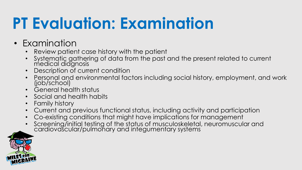#### **PT Evaluation: Examination**

- Examination
	- Review patient case history with the patient
	- Systematic gathering of data from the past and the present related to current medical diagnosis
	- Description of current condition
	- Personal and environmental factors including social history, employment, and work (job/school)
	- General health status
	- Social and health habits
	- Family history
	- Current and previous functional status, including activity and participation
	- Co-existing conditions that might have implications for management
	- Screening/initial testing of the status of musculoskeletal, neuromuscular and cardiovascular/pulmonary and integumentary systems

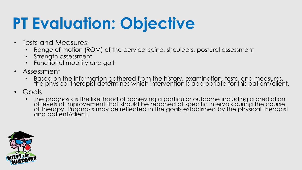## **PT Evaluation: Objective**

- Tests and Measures:
	- Range of motion (ROM) of the cervical spine, shoulders, postural assessment
	- Strength assessment
	- Functional mobility and gait
- Assessment
	- Based on the information gathered from the history, examination, tests, and measures, the physical therapist determines which intervention is appropriate for this patient/client.
- Goals
	- The prognosis is the likelihood of achieving a particular outcome including a prediction of levels of improvement that should be reached at specific intervals during the course of therapy. Prognosis may be reflected in the goals established by the physical therapist and patient/client.

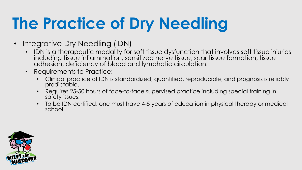## **The Practice of Dry Needling**

- Integrative Dry Needling (IDN)
	- IDN is a therapeutic modality for soft tissue dysfunction that involves soft tissue injuries including tissue inflammation, sensitized nerve tissue, scar tissue formation, tissue adhesion, deficiency of blood and lymphatic circulation.
	- Requirements to Practice:
		- Clinical practice of IDN is standardized, quantified, reproducible, and prognosis is reliably predictable.
		- Requires 25-50 hours of face-to-face supervised practice including special training in safety issues.
		- To be IDN certified, one must have 4-5 years of education in physical therapy or medical school.

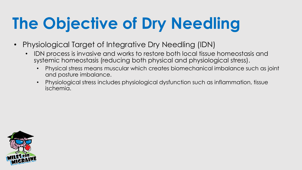## **The Objective of Dry Needling**

- Physiological Target of Integrative Dry Needling (IDN)
	- IDN process is invasive and works to restore both local tissue homeostasis and systemic homeostasis (reducing both physical and physiological stress).
		- Physical stress means muscular which creates biomechanical imbalance such as joint and posture imbalance.
		- Physiological stress includes physiological dysfunction such as inflammation, tissue ischemia.

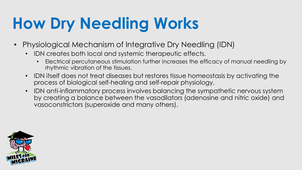## **How Dry Needling Works**

- Physiological Mechanism of Integrative Dry Needling (IDN)
	- IDN creates both local and systemic therapeutic effects.
		- Electrical percutaneous stimulation further increases the efficacy of manual needling by rhythmic vibration of the tissues.
	- IDN itself does not treat diseases but restores tissue homeostasis by activating the process of biological self-healing and self-repair physiology.
	- IDN anti-inflammatory process involves balancing the sympathetic nervous system by creating a balance between the vasodilators (adenosine and nitric oxide) and vasoconstrictors (superoxide and many others).

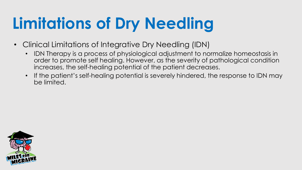## **Limitations of Dry Needling**

- Clinical Limitations of Integrative Dry Needling (IDN)
	- IDN Therapy is a process of physiological adjustment to normalize homeostasis in order to promote self healing. However, as the severity of pathological condition increases, the self-healing potential of the patient decreases.
	- If the patient's self-healing potential is severely hindered, the response to IDN may be limited.

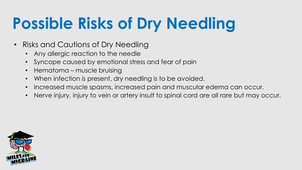## **Possible Risks of Dry Needling**

- Risks and Cautions of Dry Needling
	- Any allergic reaction to the needle
	- Syncope caused by emotional stress and fear of pain
	- Hematoma muscle bruising
	- When infection is present, dry needling is to be avoided.
	- Increased muscle spasms, increased pain and muscular edema can occur.
	- Nerve injury, injury to vein or artery insult to spinal cord are all rare but may occur.

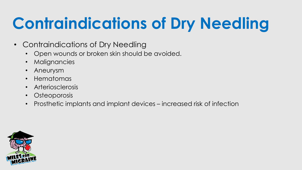## **Contraindications of Dry Needling**

- Contraindications of Dry Needling
	- Open wounds or broken skin should be avoided.
	- Malignancies
	- Aneurysm
	- Hematomas
	- Arteriosclerosis
	- Osteoporosis
	- Prosthetic implants and implant devices increased risk of infection

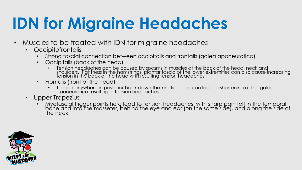### **IDN for Migraine Headaches**

- Muscles to be treated with IDN for migraine headaches
	- Occipitofrontalis
		- Strong fascial connection between occipitalis and frontalis (galea aponeurotica)
		- Occipitalis (back of the head)
			- Tension headaches can be caused by spasms in muscles at the back of the head, neck and shoulders. Tightness in the hamstrings, plantar fascia of the lower extremities can also cause increasing tension in the back of the head with resulting tension headaches.
		- Frontalis (front of the head)
			- Tension anywhere in posterior back down the kinetic chain can lead to shortening of the galea aponeurotica resulting in tension headaches
	- Upper Trapezius
		- Myofascial trigger points here lead to tension headaches, with sharp pain felt in the temporal bone and into the masseter, behind the eye and ear (on the same side), and along the side of the neck.

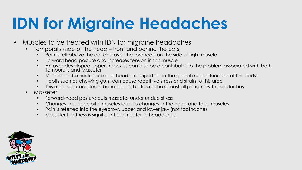#### **IDN for Migraine Headaches**

- Muscles to be treated with IDN for migraine headaches
	- Temporalis (side of the head front and behind the ears)
		- Pain is felt above the ear and over the forehead on the side of tight muscle
		- Forward head posture also increases tension in this muscle
		- An over-developed Upper Trapezius can also be a contributor to the problem associated with both Temporalis and Masseter
		- Muscles of the neck, face and head are important in the global muscle function of the body
		- Habits such as chewing gum can cause repetitive stress and strain to this area
		- This muscle is considered beneficial to be treated in almost all patients with headaches.
	- Masseter
		- Forward-head posture puts masseter under undue stress
		- Changes in suboccipital muscles lead to changes in the head and face muscles.
		- Pain is referred into the eyebrow, upper and lower jaw (not toothache)
		- Masseter tightness is significant contributor to headaches.